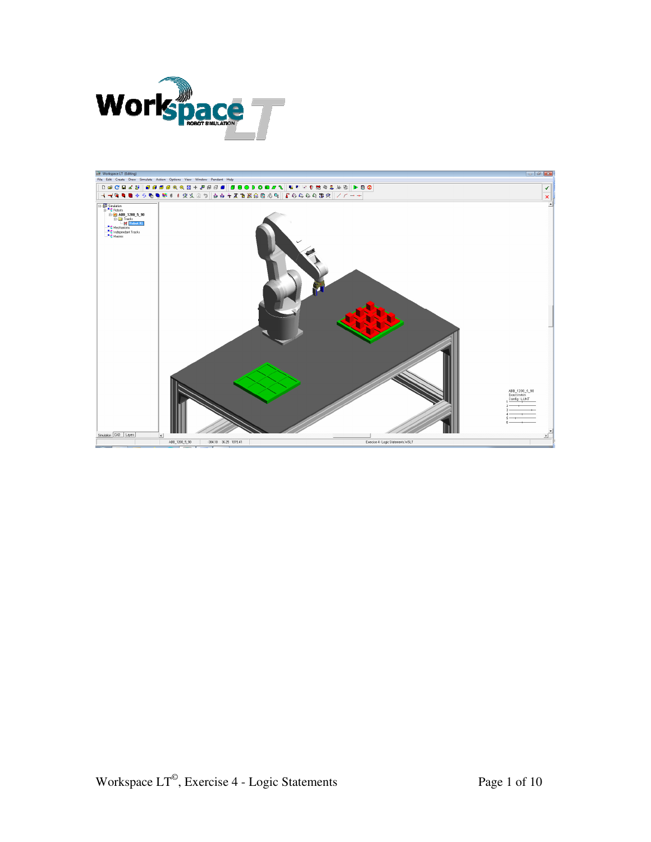

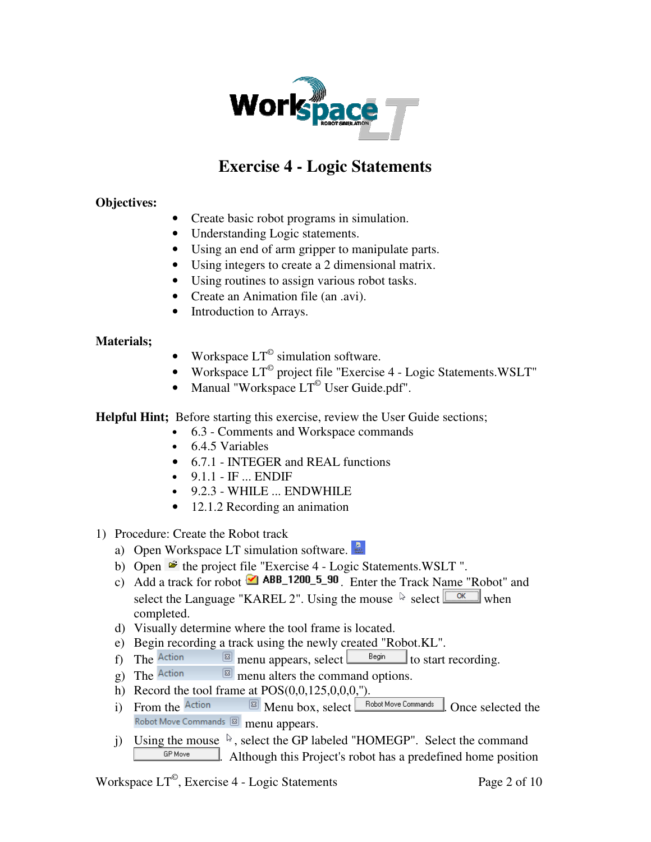

# **Exercise 4 - Logic Statements**

### **Objectives:**

- Create basic robot programs in simulation.
- Understanding Logic statements.
- Using an end of arm gripper to manipulate parts.
- Using integers to create a 2 dimensional matrix.
- Using routines to assign various robot tasks.
- Create an Animation file (an .avi).
- Introduction to Arrays.

#### **Materials;**

- Workspace  $LT^{\circ}$  simulation software.
- Workspace  $LT^{\degree}$  project file "Exercise 4 Logic Statements. WSLT"
- Manual "Workspace  $LT^{\circ}$  User Guide.pdf".

**Helpful Hint;** Before starting this exercise, review the User Guide sections;

- 6.3 Comments and Workspace commands
- 6.4.5 Variables
- 6.7.1 INTEGER and REAL functions
- $\bullet$  9.1.1 IF ... ENDIF
- 9.2.3 WHILE ... ENDWHILE
- 12.1.2 Recording an animation
- 1) Procedure: Create the Robot track
	- a) Open Workspace LT simulation software.  $\frac{a}{n}$
	- b) Open  $\mathbb{E}$  the project file "Exercise 4 Logic Statements.WSLT".
	- c) Add a track for robot  $\blacksquare$  ABB\_1200\_5\_90. Enter the Track Name "Robot" and select the Language "KAREL 2". Using the mouse  $\frac{1}{2}$  select  $\boxed{\infty}$  when completed.
	- d) Visually determine where the tool frame is located.
	- e) Begin recording a track using the newly created "Robot.KL".
	- f) The Action  $\boxtimes$  menu appears, select  $\Box$  Begin to start recording.
	- g) The Action  $\Box$  menu alters the command options.
	- h) Record the tool frame at  $POS(0,0,125,0,0,0,$ ").
	- i) From the  $\overline{\text{Action}}$   $\overline{\text{[B]}}$  Menu box, select  $\overline{\text{[Bobot Move Commons]}}$ . Once selected the Robot Move Commands  $\boxed{\boxtimes}$  menu appears.
	- j) Using the mouse  $\frac{1}{2}$ , select the GP labeled "HOMEGP". Select the command  $\Box$ . Although this Project's robot has a predefined home position

Workspace  $LT^{\circ}$ , Exercise 4 - Logic Statements Page 2 of 10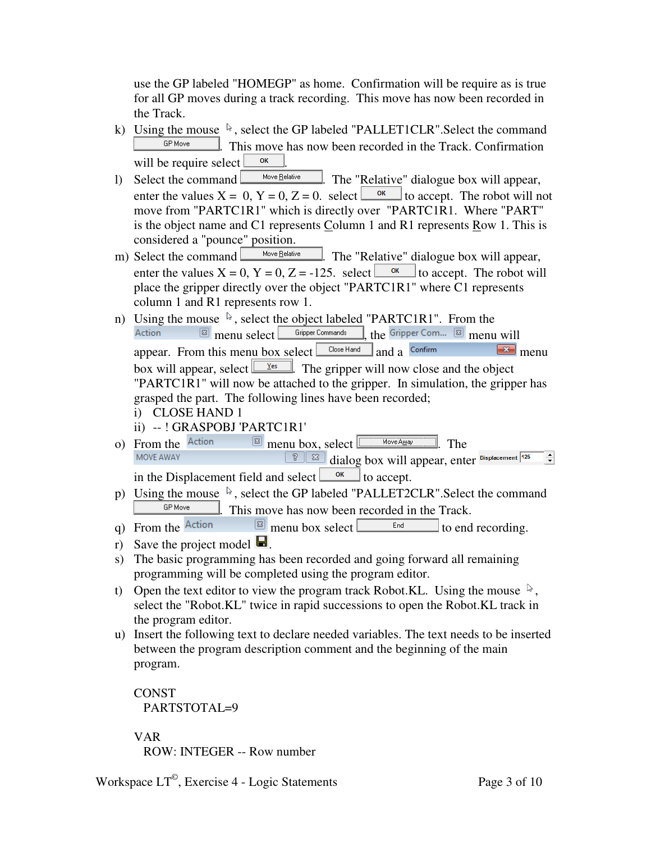use the GP labeled "HOMEGP" as home. Confirmation will be require as is true for all GP moves during a track recording. This move has now been recorded in the Track.

- k) Using the mouse  $\sqrt{k}$ , select the GP labeled "PALLET1CLR". Select the command GP Move . This move has now been recorded in the Track. Confirmation will be require select  $\frac{X}{x}$
- 1) Select the command  $\Box$  Move <u>Relative</u>  $\Box$ . The "Relative" dialogue box will appear, enter the values  $X = 0$ ,  $Y = 0$ ,  $Z = 0$ . select  $\frac{X - X}{Y}$  to accept. The robot will not move from "PARTC1R1" which is directly over "PARTC1R1. Where "PART" is the object name and C1 represents Column 1 and R1 represents Row 1. This is considered a "pounce" position.
- m) Select the command  $\Box$  Move Elelative  $\Box$ . The "Relative" dialogue box will appear, enter the values  $X = 0$ ,  $Y = 0$ ,  $Z = -125$ . select  $\cos \theta$  to accept. The robot will place the gripper directly over the object "PARTC1R1" where C1 represents column 1 and R1 represents row 1.
- n) Using the mouse  $\sqrt[k]{ }$ , select the object labeled "PARTC1R1". From the Action **ED** menu select **Gripper Commands** the Gripper Com... **ED** menu will appear. From this menu box select  $\Box$  Close Hand a neutral and a Confirm box will appear, select  $\sqrt{\frac{Y_{\text{es}}}{Y_{\text{es}}}}$ . The gripper will now close and the object "PARTC1R1" will now be attached to the gripper. In simulation, the gripper has grasped the part. The following lines have been recorded;
	- i) CLOSE HAND 1
	- ii) -- ! GRASPOBJ 'PARTC1R1'
- o) From the  $\frac{1}{\text{Action}}$   $\frac{1}{\text{Section}}$  menu box, select  $\frac{1}{\text{Moreover, Any}}$ . The **128** dialog box will appear, enter Displacement 125  $|\div$ in the Displacement field and select  $\frac{K}{K}$  to accept.
- p) Using the mouse  $\sqrt[k]{ }$ , select the GP labeled "PALLET2CLR". Select the command **GP** Move . This move has now been recorded in the Track.
- q) From the  $\frac{\text{Action}}{\text{[B]}$  menu box select  $\frac{\text{End}}{\text{[C]}}$  to end recording.
- r) Save the project model  $\blacksquare$ .
- s) The basic programming has been recorded and going forward all remaining programming will be completed using the program editor.
- t) Open the text editor to view the program track Robot.KL. Using the mouse  $\sqrt[5]{\ }$ , select the "Robot.KL" twice in rapid successions to open the Robot.KL track in the program editor.
- u) Insert the following text to declare needed variables. The text needs to be inserted between the program description comment and the beginning of the main program.

**CONST** PARTSTOTAL=9

VAR ROW: INTEGER -- Row number

Workspace  $LT^{\circ}$ , Exercise 4 - Logic Statements Page 3 of 10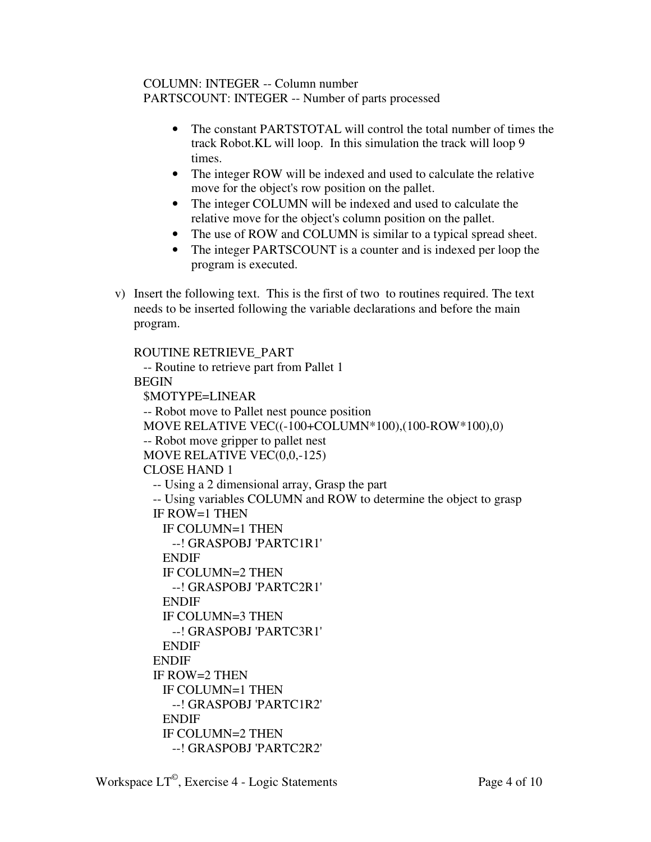## COLUMN: INTEGER -- Column number PARTSCOUNT: INTEGER -- Number of parts processed

- The constant PARTSTOTAL will control the total number of times the track Robot.KL will loop. In this simulation the track will loop 9 times.
- The integer ROW will be indexed and used to calculate the relative move for the object's row position on the pallet.
- The integer COLUMN will be indexed and used to calculate the relative move for the object's column position on the pallet.
- The use of ROW and COLUMN is similar to a typical spread sheet.
- The integer PARTSCOUNT is a counter and is indexed per loop the program is executed.
- v) Insert the following text. This is the first of two to routines required. The text needs to be inserted following the variable declarations and before the main program.

```
ROUTINE RETRIEVE_PART 
  -- Routine to retrieve part from Pallet 1 
BEGIN 
  $MOTYPE=LINEAR 
  -- Robot move to Pallet nest pounce position 
  MOVE RELATIVE VEC((-100+COLUMN*100),(100-ROW*100),0) 
  -- Robot move gripper to pallet nest 
  MOVE RELATIVE VEC(0,0,-125) 
  CLOSE HAND 1 
    -- Using a 2 dimensional array, Grasp the part 
    -- Using variables COLUMN and ROW to determine the object to grasp 
    IF ROW=1 THEN 
      IF COLUMN=1 THEN 
       --! GRASPOBJ 'PARTC1R1' 
      ENDIF 
      IF COLUMN=2 THEN 
       --! GRASPOBJ 'PARTC2R1' 
      ENDIF 
      IF COLUMN=3 THEN 
       --! GRASPOBJ 'PARTC3R1' 
      ENDIF 
    ENDIF 
    IF ROW=2 THEN 
      IF COLUMN=1 THEN 
       --! GRASPOBJ 'PARTC1R2' 
      ENDIF 
      IF COLUMN=2 THEN 
       --! GRASPOBJ 'PARTC2R2'
```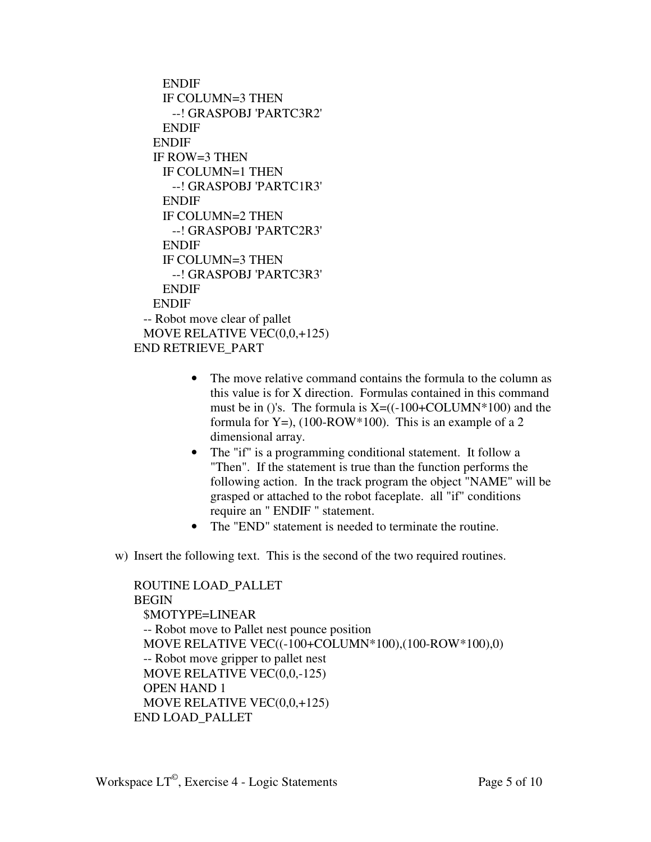```
 ENDIF 
     IF COLUMN=3 THEN 
       --! GRASPOBJ 'PARTC3R2' 
     ENDIF 
    ENDIF 
    IF ROW=3 THEN 
     IF COLUMN=1 THEN 
       --! GRASPOBJ 'PARTC1R3' 
     ENDIF 
     IF COLUMN=2 THEN 
       --! GRASPOBJ 'PARTC2R3' 
     ENDIF 
     IF COLUMN=3 THEN 
       --! GRASPOBJ 'PARTC3R3' 
     ENDIF 
    ENDIF 
  -- Robot move clear of pallet 
  MOVE RELATIVE VEC(0,0,+125) 
END RETRIEVE_PART
```
- The move relative command contains the formula to the column as this value is for X direction. Formulas contained in this command must be in ()'s. The formula is  $X=((-100+C0LUMN*100))$  and the formula for Y=),  $(100 \text{-} \text{ROW*100})$ . This is an example of a 2 dimensional array.
- The "if" is a programming conditional statement. It follow a "Then". If the statement is true than the function performs the following action. In the track program the object "NAME" will be grasped or attached to the robot faceplate. all "if" conditions require an " ENDIF " statement.
- The "END" statement is needed to terminate the routine.
- w) Insert the following text. This is the second of the two required routines.

```
ROUTINE LOAD_PALLET 
BEGIN
  $MOTYPE=LINEAR 
  -- Robot move to Pallet nest pounce position 
  MOVE RELATIVE VEC((-100+COLUMN*100),(100-ROW*100),0) 
  -- Robot move gripper to pallet nest 
  MOVE RELATIVE VEC(0,0,-125) 
  OPEN HAND 1 
  MOVE RELATIVE VEC(0,0,+125) 
END LOAD_PALLET
```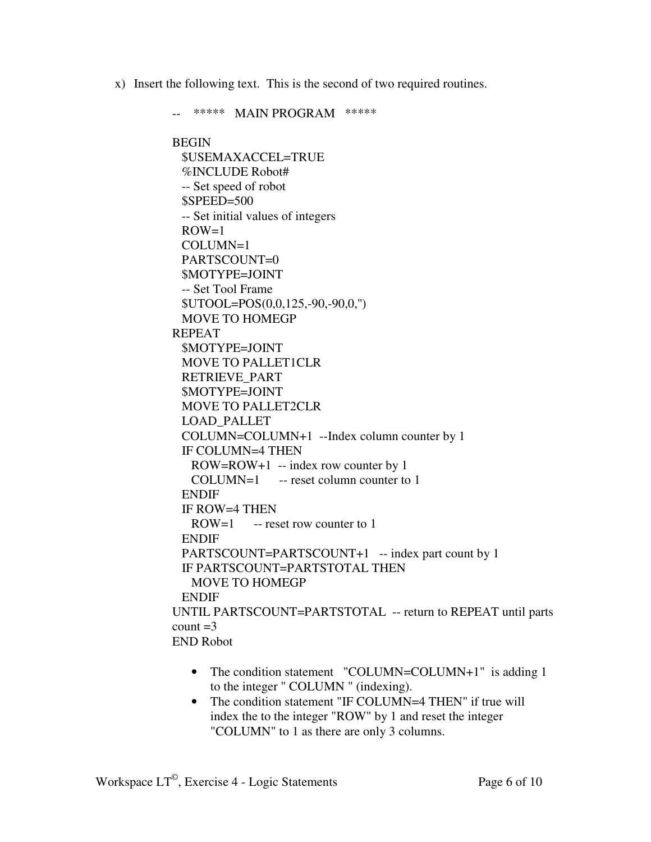x) Insert the following text. This is the second of two required routines.

\*\*\*\*\* MAIN PROGRAM \*\*\*\*\* BEGIN \$USEMAXACCEL=TRUE %INCLUDE Robot# -- Set speed of robot \$SPEED=500 -- Set initial values of integers  $ROW=1$  COLUMN=1 PARTSCOUNT=0 \$MOTYPE=JOINT -- Set Tool Frame \$UTOOL=POS(0,0,125,-90,-90,0,'') MOVE TO HOMEGP REPEAT \$MOTYPE=JOINT MOVE TO PALLET1CLR RETRIEVE\_PART \$MOTYPE=JOINT MOVE TO PALLET2CLR LOAD\_PALLET COLUMN=COLUMN+1 --Index column counter by 1 IF COLUMN=4 THEN ROW=ROW+1 -- index row counter by 1 COLUMN=1 -- reset column counter to 1 ENDIF IF ROW=4 THEN ROW=1 -- reset row counter to 1 ENDIF PARTSCOUNT=PARTSCOUNT+1 -- index part count by 1 IF PARTSCOUNT=PARTSTOTAL THEN MOVE TO HOMEGP ENDIF UNTIL PARTSCOUNT=PARTSTOTAL -- return to REPEAT until parts  $count = 3$ END Robot

- The condition statement "COLUMN=COLUMN+1" is adding 1 to the integer " COLUMN " (indexing).
- The condition statement "IF COLUMN=4 THEN" if true will index the to the integer "ROW" by 1 and reset the integer "COLUMN" to 1 as there are only 3 columns.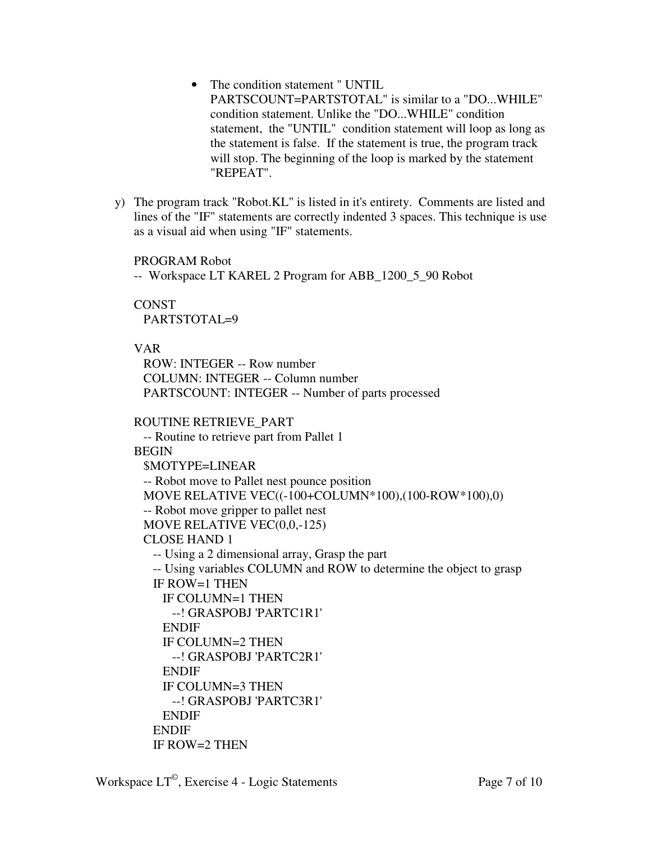• The condition statement " UNTIL

PARTSCOUNT=PARTSTOTAL" is similar to a "DO...WHILE" condition statement. Unlike the "DO...WHILE" condition statement, the "UNTIL" condition statement will loop as long as the statement is false. If the statement is true, the program track will stop. The beginning of the loop is marked by the statement "REPEAT".

y) The program track "Robot.KL" is listed in it's entirety. Comments are listed and lines of the "IF" statements are correctly indented 3 spaces. This technique is use as a visual aid when using "IF" statements.

#### PROGRAM Robot

-- Workspace LT KAREL 2 Program for ABB\_1200\_5\_90 Robot

#### CONST

PARTSTOTAL=9

#### VAR

 ROW: INTEGER -- Row number COLUMN: INTEGER -- Column number PARTSCOUNT: INTEGER -- Number of parts processed

## ROUTINE RETRIEVE\_PART

 -- Routine to retrieve part from Pallet 1 BEGIN \$MOTYPE=LINEAR -- Robot move to Pallet nest pounce position MOVE RELATIVE VEC((-100+COLUMN\*100),(100-ROW\*100),0) -- Robot move gripper to pallet nest MOVE RELATIVE VEC(0,0,-125) CLOSE HAND 1 -- Using a 2 dimensional array, Grasp the part -- Using variables COLUMN and ROW to determine the object to grasp IF ROW=1 THEN IF COLUMN=1 THEN --! GRASPOBJ 'PARTC1R1' ENDIF IF COLUMN=2 THEN --! GRASPOBJ 'PARTC2R1' ENDIF IF COLUMN=3 THEN --! GRASPOBJ 'PARTC3R1' ENDIF ENDIF IF ROW=2 THEN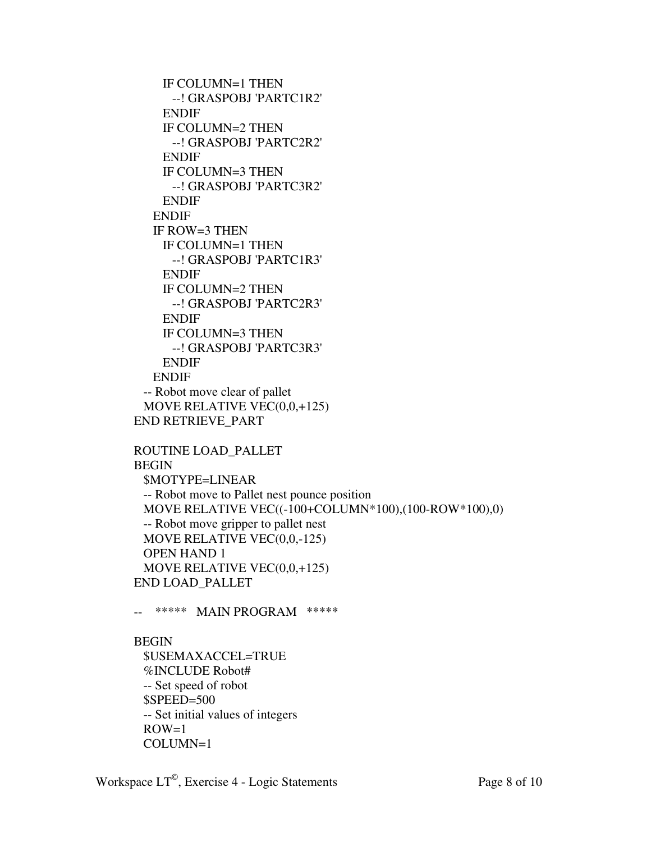IF COLUMN=1 THEN --! GRASPOBJ 'PARTC1R2' ENDIF IF COLUMN=2 THEN --! GRASPOBJ 'PARTC2R2' ENDIF IF COLUMN=3 THEN --! GRASPOBJ 'PARTC3R2' ENDIF ENDIF IF ROW=3 THEN IF COLUMN=1 THEN --! GRASPOBJ 'PARTC1R3' ENDIF IF COLUMN=2 THEN --! GRASPOBJ 'PARTC2R3' ENDIF IF COLUMN=3 THEN --! GRASPOBJ 'PARTC3R3' ENDIF ENDIF -- Robot move clear of pallet MOVE RELATIVE VEC(0,0,+125) END RETRIEVE\_PART

ROUTINE LOAD\_PALLET BEGIN \$MOTYPE=LINEAR -- Robot move to Pallet nest pounce position MOVE RELATIVE VEC((-100+COLUMN\*100),(100-ROW\*100),0) -- Robot move gripper to pallet nest MOVE RELATIVE VEC(0,0,-125) OPEN HAND 1 MOVE RELATIVE VEC(0,0,+125) END LOAD\_PALLET

-- \*\*\*\*\* MAIN PROGRAM \*\*\*\*\*

BEGIN \$USEMAXACCEL=TRUE %INCLUDE Robot# -- Set speed of robot \$SPEED=500 -- Set initial values of integers ROW=1 COLUMN=1

Workspace  $LT^{\circ}$ , Exercise 4 - Logic Statements Page 8 of 10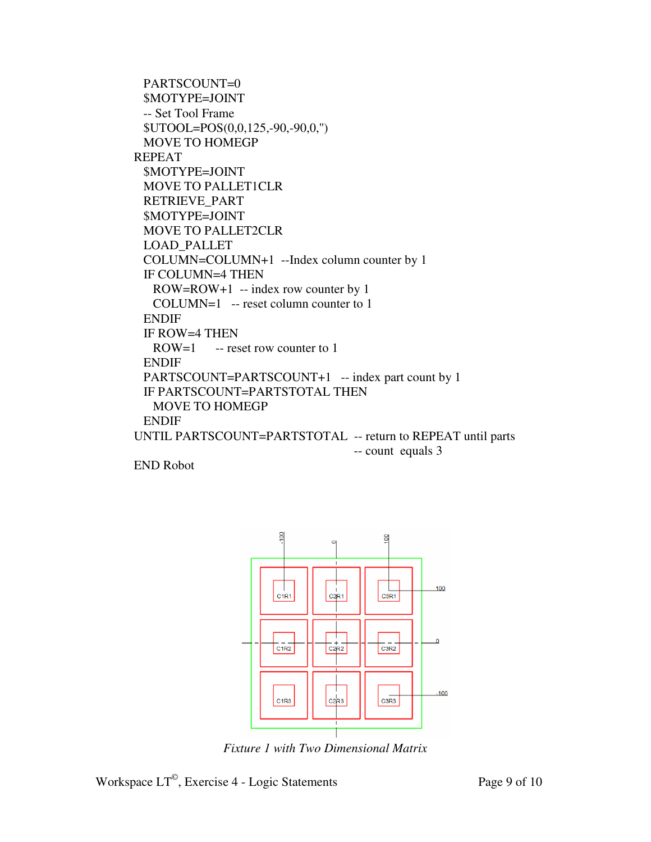```
 PARTSCOUNT=0 
  $MOTYPE=JOINT 
  -- Set Tool Frame 
  $UTOOL=POS(0,0,125,-90,-90,0,'') 
  MOVE TO HOMEGP 
REPEAT 
  $MOTYPE=JOINT 
  MOVE TO PALLET1CLR 
  RETRIEVE_PART 
  $MOTYPE=JOINT 
  MOVE TO PALLET2CLR 
  LOAD_PALLET 
  COLUMN=COLUMN+1 --Index column counter by 1 
  IF COLUMN=4 THEN 
   ROW=ROW+1 -- index row counter by 1 
  COLUMN=1 -- reset column counter to 1
  ENDIF 
  IF ROW=4 THEN 
  ROW=1 -- reset row counter to 1
  ENDIF 
 PARTSCOUNT=PARTSCOUNT+1 -- index part count by 1
  IF PARTSCOUNT=PARTSTOTAL THEN 
   MOVE TO HOMEGP 
  ENDIF 
UNTIL PARTSCOUNT=PARTSTOTAL -- return to REPEAT until parts 
                                    -- count equals 3
```
END Robot



*Fixture 1 with Two Dimensional Matrix*